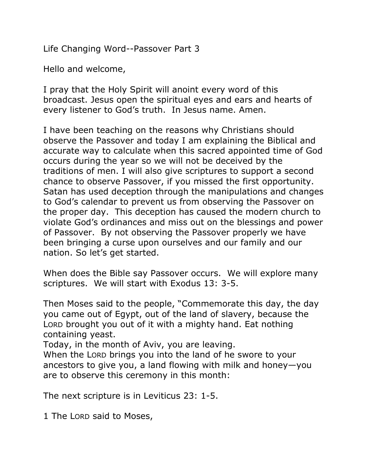Life Changing Word--Passover Part 3

Hello and welcome,

I pray that the Holy Spirit will anoint every word of this broadcast. Jesus open the spiritual eyes and ears and hearts of every listener to God's truth. In Jesus name. Amen.

I have been teaching on the reasons why Christians should observe the Passover and today I am explaining the Biblical and accurate way to calculate when this sacred appointed time of God occurs during the year so we will not be deceived by the traditions of men. I will also give scriptures to support a second chance to observe Passover, if you missed the first opportunity. Satan has used deception through the manipulations and changes to God's calendar to prevent us from observing the Passover on the proper day. This deception has caused the modern church to violate God's ordinances and miss out on the blessings and power of Passover. By not observing the Passover properly we have been bringing a curse upon ourselves and our family and our nation. So let's get started.

When does the Bible say Passover occurs. We will explore many scriptures. We will start with Exodus 13: 3-5.

Then Moses said to the people, "Commemorate this day, the day you came out of Egypt, out of the land of slavery, because the LORD brought you out of it with a mighty hand. Eat nothing containing yeast.

Today, in the month of Aviv, you are leaving.

When the LORD brings you into the land of he swore to your ancestors to give you, a land flowing with milk and honey—you are to observe this ceremony in this month:

The next scripture is in Leviticus 23: 1-5.

1 The LORD said to Moses,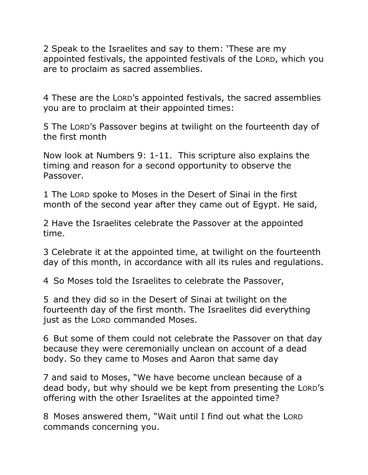2 Speak to the Israelites and say to them: 'These are my appointed festivals, the appointed festivals of the LORD, which you are to proclaim as sacred assemblies.

4 These are the LORD's appointed festivals, the sacred assemblies you are to proclaim at their appointed times:

5 The LORD's Passover begins at twilight on the fourteenth day of the first month

Now look at Numbers 9: 1-11. This scripture also explains the timing and reason for a second opportunity to observe the Passover.

1 The LORD spoke to Moses in the Desert of Sinai in the first month of the second year after they came out of Egypt. He said,

2 Have the Israelites celebrate the Passover at the appointed time.

3 Celebrate it at the appointed time, at twilight on the fourteenth day of this month, in accordance with all its rules and regulations.

4 So Moses told the Israelites to celebrate the Passover,

5 and they did so in the Desert of Sinai at twilight on the fourteenth day of the first month. The Israelites did everything just as the LORD commanded Moses.

6 But some of them could not celebrate the Passover on that day because they were ceremonially unclean on account of a dead body. So they came to Moses and Aaron that same day

7 and said to Moses, "We have become unclean because of a dead body, but why should we be kept from presenting the LORD's offering with the other Israelites at the appointed time?

8 Moses answered them, "Wait until I find out what the LORD commands concerning you.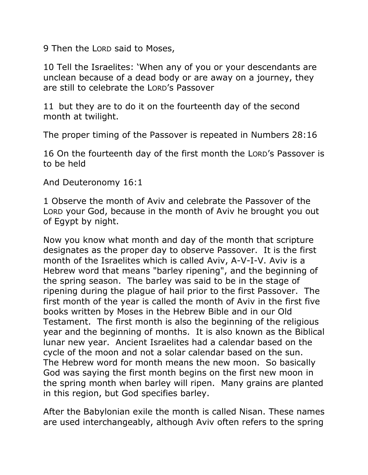9 Then the LORD said to Moses,

10 Tell the Israelites: 'When any of you or your descendants are unclean because of a dead body or are away on a journey, they are still to celebrate the LORD's Passover

11 but they are to do it on the fourteenth day of the second month at twilight.

The proper timing of the Passover is repeated in Numbers 28:16

16 On the fourteenth day of the first month the LORD's Passover is to be held

And Deuteronomy 16:1

1 Observe the month of Aviv and celebrate the Passover of the LORD your God, because in the month of Aviv he brought you out of Egypt by night.

Now you know what month and day of the month that scripture designates as the proper day to observe Passover. It is the first month of the Israelites which is called Aviv, A-V-I-V. Aviv is a Hebrew word that means "barley ripening", and the beginning of the spring season. The barley was said to be in the stage of ripening during the plague of hail prior to the first Passover. The first month of the year is called the month of Aviv in the first five books written by Moses in the Hebrew Bible and in our Old Testament. The first month is also the beginning of the religious year and the beginning of months. It is also known as the Biblical lunar new year. Ancient Israelites had a calendar based on the cycle of the moon and not a solar calendar based on the sun. The Hebrew word for month means the new moon. So basically God was saying the first month begins on the first new moon in the spring month when barley will ripen. Many grains are planted in this region, but God specifies barley.

After the Babylonian exile the month is called Nisan. These names are used interchangeably, although Aviv often refers to the spring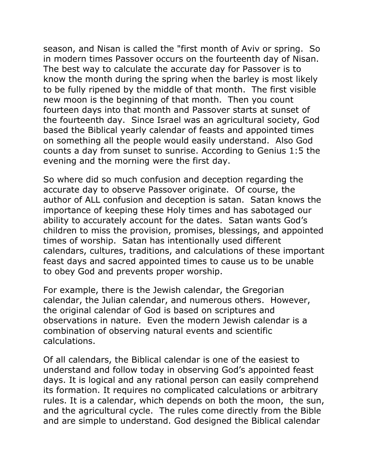season, and Nisan is called the "first month of Aviv or spring. So in modern times Passover occurs on the fourteenth day of Nisan. The best way to calculate the accurate day for Passover is to know the month during the spring when the barley is most likely to be fully ripened by the middle of that month. The first visible new moon is the beginning of that month. Then you count fourteen days into that month and Passover starts at sunset of the fourteenth day. Since Israel was an agricultural society, God based the Biblical yearly calendar of feasts and appointed times on something all the people would easily understand. Also God counts a day from sunset to sunrise. According to Genius 1:5 the evening and the morning were the first day.

So where did so much confusion and deception regarding the accurate day to observe Passover originate. Of course, the author of ALL confusion and deception is satan. Satan knows the importance of keeping these Holy times and has sabotaged our ability to accurately account for the dates. Satan wants God's children to miss the provision, promises, blessings, and appointed times of worship. Satan has intentionally used different calendars, cultures, traditions, and calculations of these important feast days and sacred appointed times to cause us to be unable to obey God and prevents proper worship.

For example, there is the Jewish calendar, the Gregorian calendar, the Julian calendar, and numerous others. However, the original calendar of God is based on scriptures and observations in nature. Even the modern Jewish calendar is a combination of observing natural events and scientific calculations.

Of all calendars, the Biblical calendar is one of the easiest to understand and follow today in observing God's appointed feast days. It is logical and any rational person can easily comprehend its formation. It requires no complicated calculations or arbitrary rules. It is a calendar, which depends on both the moon, the sun, and the agricultural cycle. The rules come directly from the Bible and are simple to understand. God designed the Biblical calendar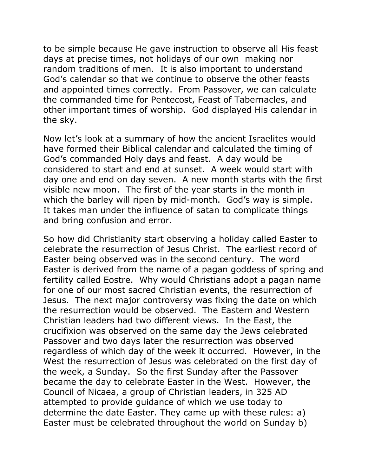to be simple because He gave instruction to observe all His feast days at precise times, not holidays of our own making nor random traditions of men. It is also important to understand God's calendar so that we continue to observe the other feasts and appointed times correctly. From Passover, we can calculate the commanded time for Pentecost, Feast of Tabernacles, and other important times of worship. God displayed His calendar in the sky.

Now let's look at a summary of how the ancient Israelites would have formed their Biblical calendar and calculated the timing of God's commanded Holy days and feast. A day would be considered to start and end at sunset. A week would start with day one and end on day seven. A new month starts with the first visible new moon. The first of the year starts in the month in which the barley will ripen by mid-month. God's way is simple. It takes man under the influence of satan to complicate things and bring confusion and error.

So how did Christianity start observing a holiday called Easter to celebrate the resurrection of Jesus Christ. The earliest record of Easter being observed was in the second century. The word Easter is derived from the name of a pagan goddess of spring and fertility called Eostre. Why would Christians adopt a pagan name for one of our most sacred Christian events, the resurrection of Jesus. The next major controversy was fixing the date on which the resurrection would be observed. The Eastern and Western Christian leaders had two different views. In the East, the crucifixion was observed on the same day the Jews celebrated Passover and two days later the resurrection was observed regardless of which day of the week it occurred. However, in the West the resurrection of Jesus was celebrated on the first day of the week, a Sunday. So the first Sunday after the Passover became the day to celebrate Easter in the West. However, the Council of Nicaea, a group of Christian leaders, in 325 AD attempted to provide guidance of which we use today to determine the date Easter. They came up with these rules: a) Easter must be celebrated throughout the world on Sunday b)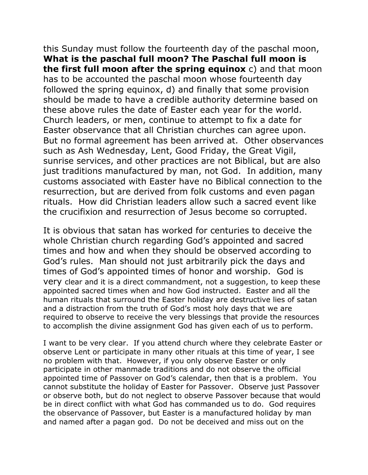this Sunday must follow the fourteenth day of the paschal moon, **What is the paschal full moon? The Paschal full moon is the first full moon after the spring equinox** c) and that moon has to be accounted the paschal moon whose fourteenth day followed the spring equinox, d) and finally that some provision should be made to have a credible authority determine based on these above rules the date of Easter each year for the world. Church leaders, or men, continue to attempt to fix a date for Easter observance that all Christian churches can agree upon. But no formal agreement has been arrived at. Other observances such as Ash Wednesday, Lent, Good Friday, the Great Vigil, sunrise services, and other practices are not Biblical, but are also just traditions manufactured by man, not God. In addition, many customs associated with Easter have no Biblical connection to the resurrection, but are derived from folk customs and even pagan rituals. How did Christian leaders allow such a sacred event like the crucifixion and resurrection of Jesus become so corrupted.

It is obvious that satan has worked for centuries to deceive the whole Christian church regarding God's appointed and sacred times and how and when they should be observed according to God's rules. Man should not just arbitrarily pick the days and times of God's appointed times of honor and worship. God is very clear and it is a direct commandment, not a suggestion, to keep these appointed sacred times when and how God instructed. Easter and all the human rituals that surround the Easter holiday are destructive lies of satan and a distraction from the truth of God's most holy days that we are required to observe to receive the very blessings that provide the resources to accomplish the divine assignment God has given each of us to perform.

I want to be very clear. If you attend church where they celebrate Easter or observe Lent or participate in many other rituals at this time of year, I see no problem with that. However, if you only observe Easter or only participate in other manmade traditions and do not observe the official appointed time of Passover on God's calendar, then that is a problem. You cannot substitute the holiday of Easter for Passover. Observe just Passover or observe both, but do not neglect to observe Passover because that would be in direct conflict with what God has commanded us to do. God requires the observance of Passover, but Easter is a manufactured holiday by man and named after a pagan god. Do not be deceived and miss out on the